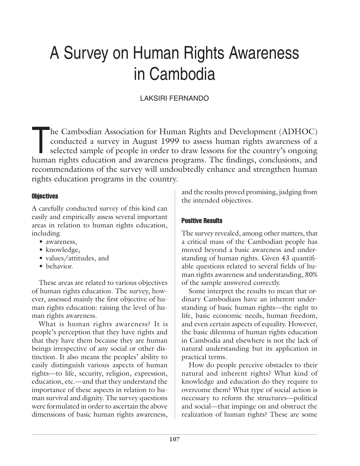# A Survey on Human Rights Awareness in Cambodia

# LAKSIRI FERNANDO

The Cambodian Association for Human Rights and Development (ADHOC)<br>conducted a survey in August 1999 to assess human rights awareness of a<br>selected sample of people in order to draw lessons for the country's ongoing<br>human conducted a survey in August 1999 to assess human rights awareness of a selected sample of people in order to draw lessons for the country's ongoing human rights education and awareness programs. The findings, conclusions, and recommendations of the survey will undoubtedly enhance and strengthen human rights education programs in the country.

# **Objectives**

A carefully conducted survey of this kind can easily and empirically assess several important areas in relation to human rights education, including

- awareness,
- knowledge,
- values/attitudes, and
- behavior.

These areas are related to various objectives of human rights education. The survey, however, assessed mainly the first objective of human rights education: raising the level of human rights awareness.

What is human rights awareness? It is people's perception that they have rights and that they have them because they are human beings irrespective of any social or other distinction. It also means the peoples' ability to easily distinguish various aspects of human rights—to life, security, religion, expression, education, etc.—and that they understand the importance of these aspects in relation to human survival and dignity. The survey questions were formulated in order to ascertain the above dimensions of basic human rights awareness,

and the results proved promising, judging from the intended objectives.

# Positive Results

The survey revealed, among other matters, that a critical mass of the Cambodian people has moved beyond a basic awareness and understanding of human rights. Given 43 quantifiable questions related to several fields of human rights awareness and understanding, 80% of the sample answered correctly.

Some interpret the results to mean that ordinary Cambodians have an inherent understanding of basic human rights—the right to life, basic economic needs, human freedom, and even certain aspects of equality. However, the basic dilemma of human rights education in Cambodia and elsewhere is not the lack of natural understanding but its application in practical terms.

How do people perceive obstacles to their natural and inherent rights? What kind of knowledge and education do they require to overcome them? What type of social action is necessary to reform the structures—political and social—that impinge on and obstruct the realization of human rights? These are some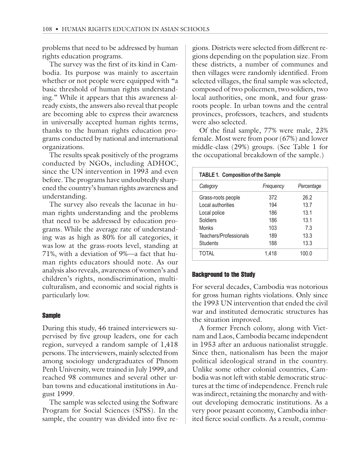problems that need to be addressed by human rights education programs.

The survey was the first of its kind in Cambodia. Its purpose was mainly to ascertain whether or not people were equipped with "a basic threshold of human rights understanding." While it appears that this awareness already exists, the answers also reveal that people are becoming able to express their awareness in universally accepted human rights terms, thanks to the human rights education programs conducted by national and international organizations.

The results speak positively of the programs conducted by NGOs, including ADHOC, since the UN intervention in 1993 and even before. The programs have undoubtedly sharpened the country's human rights awareness and understanding.

The survey also reveals the lacunae in human rights understanding and the problems that need to be addressed by education programs. While the average rate of understanding was as high as 80% for all categories, it was low at the grass-roots level, standing at 71%, with a deviation of 9%—a fact that human rights educators should note. As our analysis also reveals, awareness of women's and children's rights, nondiscrimination, multiculturalism, and economic and social rights is particularly low.

## Sample

During this study, 46 trained interviewers supervised by five group leaders, one for each region, surveyed a random sample of 1,418 persons. The interviewers, mainly selected from among sociology undergraduates of Phnom Penh University, were trained in July 1999, and reached 98 communes and several other urban towns and educational institutions in August 1999.

The sample was selected using the Software Program for Social Sciences (SPSS). In the sample, the country was divided into five regions. Districts were selected from different regions depending on the population size. From these districts, a number of communes and then villages were randomly identified. From selected villages, the final sample was selected, composed of two policemen, two soldiers, two local authorities, one monk, and four grassroots people. In urban towns and the central provinces, professors, teachers, and students were also selected.

Of the final sample, 77% were male, 23% female. Most were from poor (67%) and lower middle-class (29%) groups. (See Table 1 for the occupational breakdown of the sample.)

| <b>TABLE 1. Composition of the Sample</b> |           |                 |  |
|-------------------------------------------|-----------|-----------------|--|
| Category                                  | Frequency | Percentage      |  |
| Grass-roots people                        | 372       | 26.2            |  |
| Local authorities                         | 194       | 13.7            |  |
| Local police                              | 186       | 13 <sub>1</sub> |  |
| Soldiers                                  | 186       | 13.1            |  |
| Monks                                     | 103       | 7.3             |  |
| Teachers/Professionals                    | 189       | 13.3            |  |
| <b>Students</b>                           | 188       | 13.3            |  |
| TOTAI                                     | 1.418     | 100.0           |  |

## Background to the Study

For several decades, Cambodia was notorious for gross human rights violations. Only since the 1993 UN intervention that ended the civil war and instituted democratic structures has the situation improved.

A former French colony, along with Vietnam and Laos, Cambodia became independent in 1953 after an arduous nationalist struggle. Since then, nationalism has been the major political ideological strand in the country. Unlike some other colonial countries, Cambodia was not left with stable democratic structures at the time of independence. French rule was indirect, retaining the monarchy and without developing democratic institutions. As a very poor peasant economy, Cambodia inherited fierce social conflicts. As a result, commu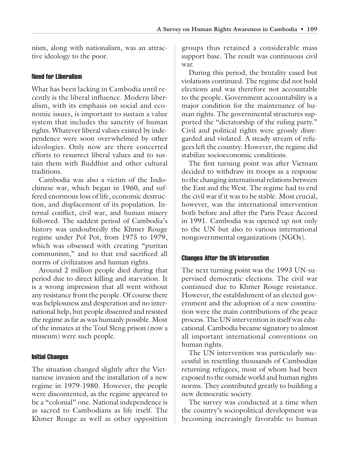nism, along with nationalism, was an attractive ideology to the poor.

## Need for Liberalism

What has been lacking in Cambodia until recently is the liberal influence. Modern liberalism, with its emphasis on social and economic issues, is important to sustain a value system that includes the sanctity of human rights. Whatever liberal values existed by independence were soon overwhelmed by other ideologies. Only now are there concerted efforts to resurrect liberal values and to sustain them with Buddhist and other cultural traditions.

Cambodia was also a victim of the Indochinese war, which began in 1960, and suffered enormous loss of life, economic destruction, and displacement of its population. Internal conflict, civil war, and human misery followed. The saddest period of Cambodia's history was undoubtedly the Khmer Rouge regime under Pol Pot, from 1975 to 1979, which was obsessed with creating "puritan communism," and to that end sacrificed all norms of civilization and human rights.

Around 2 million people died during that period due to direct killing and starvation. It is a wrong impression that all went without any resistance from the people. Of course there was helplessness and desperation and no international help, but people dissented and resisted the regime as far as was humanly possible. Most of the inmates at the Toul Sleng prison (now a museum) were such people.

## Initial Changes

The situation changed slightly after the Vietnamese invasion and the installation of a new regime in 1979-1980. However, the people were discontented, as the regime appeared to be a "colonial" one. National independence is as sacred to Cambodians as life itself. The Khmer Rouge as well as other opposition groups thus retained a considerable mass support base. The result was continuous civil war.

During this period, the brutality eased but violations continued. The regime did not hold elections and was therefore not accountable to the people. Government accountability is a major condition for the maintenance of human rights. The governmental structures supported the "dictatorship of the ruling party." Civil and political rights were grossly disregarded and violated. A steady stream of refugees left the country. However, the regime did stabilize socioeconomic conditions.

The first turning point was after Vietnam decided to withdraw its troops as a response to the changing international relations between the East and the West. The regime had to end the civil war if it was to be stable. Most crucial, however, was the international intervention both before and after the Paris Peace Accord in 1991. Cambodia was opened up not only to the UN but also to various international nongovernmental organizations (NGOs).

## Changes After the UN Intervention

The next turning point was the 1993 UN-supervised democratic elections. The civil war continued due to Khmer Rouge resistance. However, the establishment of an elected government and the adoption of a new constitution were the main contributions of the peace process. The UN intervention in itself was educational. Cambodia became signatory to almost all important international conventions on human rights.

The UN intervention was particularly successful in resettling thousands of Cambodian returning refugees, most of whom had been exposed to the outside world and human rights norms. They contributed greatly to building a new democratic society.

The survey was conducted at a time when the country's sociopolitical development was becoming increasingly favorable to human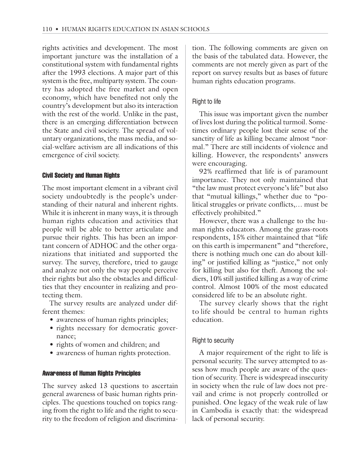rights activities and development. The most important juncture was the installation of a constitutional system with fundamental rights after the 1993 elections. A major part of this system is the free, multiparty system. The country has adopted the free market and open economy, which have benefited not only the country's development but also its interaction with the rest of the world. Unlike in the past, there is an emerging differentiation between the State and civil society. The spread of voluntary organizations, the mass media, and social-welfare activism are all indications of this emergence of civil society.

## Civil Society and Human Rights

The most important element in a vibrant civil society undoubtedly is the people's understanding of their natural and inherent rights. While it is inherent in many ways, it is through human rights education and activities that people will be able to better articulate and pursue their rights. This has been an important concern of ADHOC and the other organizations that initiated and supported the survey. The survey, therefore, tried to gauge and analyze not only the way people perceive their rights but also the obstacles and difficulties that they encounter in realizing and protecting them.

The survey results are analyzed under different themes:

- awareness of human rights principles;
- rights necessary for democratic governance;
- rights of women and children; and
- awareness of human rights protection.

## Awareness of Human Rights Principles

The survey asked 13 questions to ascertain general awareness of basic human rights principles. The questions touched on topics ranging from the right to life and the right to security to the freedom of religion and discrimination. The following comments are given on the basis of the tabulated data. However, the comments are not merely given as part of the report on survey results but as bases of future human rights education programs.

## Right to life

This issue was important given the number of lives lost during the political turmoil. Sometimes ordinary people lost their sense of the sanctity of life as killing became almost "normal." There are still incidents of violence and killing. However, the respondents' answers were encouraging.

92% reaffirmed that life is of paramount importance. They not only maintained that "the law must protect everyone's life" but also that "mutual killings," whether due to "political struggles or private conflicts,… must be effectively prohibited."

However, there was a challenge to the human rights educators. Among the grass-roots respondents, 15% either maintained that "life on this earth is impermanent" and "therefore, there is nothing much one can do about killing" or justified killing as "justice," not only for killing but also for theft. Among the soldiers, 10% still justified killing as a way of crime control. Almost 100% of the most educated considered life to be an absolute right.

The survey clearly shows that the right to life should be central to human rights education.

## Right to security

A major requirement of the right to life is personal security. The survey attempted to assess how much people are aware of the question of security. There is widespread insecurity in society when the rule of law does not prevail and crime is not properly controlled or punished. One legacy of the weak rule of law in Cambodia is exactly that: the widespread lack of personal security.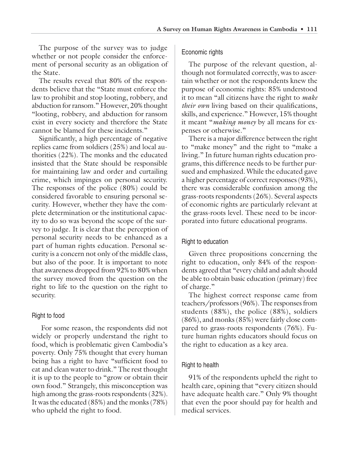The purpose of the survey was to judge whether or not people consider the enforcement of personal security as an obligation of the State.

The results reveal that 80% of the respondents believe that the "State must enforce the law to prohibit and stop looting, robbery, and abduction for ransom." However, 20% thought "looting, robbery, and abduction for ransom exist in every society and therefore the State cannot be blamed for these incidents."

Significantly, a high percentage of negative replies came from soldiers (25%) and local authorities (22%). The monks and the educated insisted that the State should be responsible for maintaining law and order and curtailing crime, which impinges on personal security. The responses of the police (80%) could be considered favorable to ensuring personal security. However, whether they have the complete determination or the institutional capacity to do so was beyond the scope of the survey to judge. It is clear that the perception of personal security needs to be enhanced as a part of human rights education. Personal security is a concern not only of the middle class, but also of the poor. It is important to note that awareness dropped from 92% to 80% when the survey moved from the question on the right to life to the question on the right to security.

## Right to food

 For some reason, the respondents did not widely or properly understand the right to food, which is problematic given Cambodia's poverty. Only 75% thought that every human being has a right to have "sufficient food to eat and clean water to drink." The rest thought it is up to the people to "grow or obtain their own food." Strangely, this misconception was high among the grass-roots respondents (32%). It was the educated (85%) and the monks (78%) who upheld the right to food.

#### Economic rights

The purpose of the relevant question, although not formulated correctly, was to ascertain whether or not the respondents knew the purpose of economic rights: 85% understood it to mean "all citizens have the right to *make their own* living based on their qualifications, skills, and experience." However, 15% thought it meant "*making money* by all means for expenses or otherwise."

There is a major difference between the right to "make money" and the right to "make a living." In future human rights education programs, this difference needs to be further pursued and emphasized. While the educated gave a higher percentage of correct responses (93%), there was considerable confusion among the grass-roots respondents (26%). Several aspects of economic rights are particularly relevant at the grass-roots level. These need to be incorporated into future educational programs.

#### Right to education

Given three propositions concerning the right to education, only 84% of the respondents agreed that "every child and adult should be able to obtain basic education (primary) free of charge."

The highest correct response came from teachers/professors (96%). The responses from students (88%), the police (88%), soldiers (86%), and monks (85%) were fairly close compared to grass-roots respondents (76%). Future human rights educators should focus on the right to education as a key area.

## Right to health

91% of the respondents upheld the right to health care, opining that "every citizen should have adequate health care." Only 9% thought that even the poor should pay for health and medical services.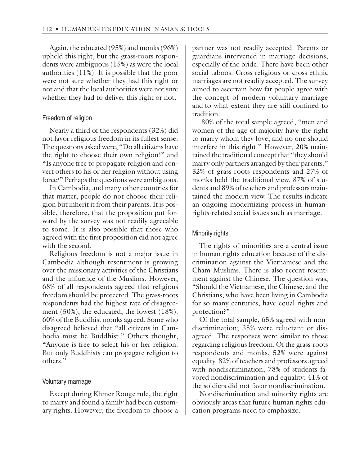Again, the educated (95%) and monks (96%) upheld this right, but the grass-roots respondents were ambiguous (15%) as were the local authorities (11%). It is possible that the poor were not sure whether they had this right or not and that the local authorities were not sure whether they had to deliver this right or not.

#### Freedom of religion

Nearly a third of the respondents (32%) did not favor religious freedom in its fullest sense. The questions asked were, "Do all citizens have the right to choose their own religion?" and "Is anyone free to propagate religion and convert others to his or her religion without using force?" Perhaps the questions were ambiguous.

In Cambodia, and many other countries for that matter, people do not choose their religion but inherit it from their parents. It is possible, therefore, that the proposition put forward by the survey was not readily agreeable to some. It is also possible that those who agreed with the first proposition did not agree with the second.

Religious freedom is not a major issue in Cambodia although resentment is growing over the missionary activities of the Christians and the influence of the Muslims. However, 68% of all respondents agreed that religious freedom should be protected. The grass-roots respondents had the highest rate of disagreement (50%); the educated, the lowest (18%). 60% of the Buddhist monks agreed. Some who disagreed believed that "all citizens in Cambodia must be Buddhist." Others thought, "Anyone is free to select his or her religion. But only Buddhists can propagate religion to others."

#### Voluntary marriage

Except during Khmer Rouge rule, the right to marry and found a family had been customary rights. However, the freedom to choose a

partner was not readily accepted. Parents or guardians intervened in marriage decisions, especially of the bride. There have been other social taboos. Cross-religious or cross-ethnic marriages are not readily accepted. The survey aimed to ascertain how far people agree with the concept of modern voluntary marriage and to what extent they are still confined to tradition.

 80% of the total sample agreed, "men and women of the age of majority have the right to marry whom they love, and no one should interfere in this right." However, 20% maintained the traditional concept that "they should marry only partners arranged by their parents." 32% of grass-roots respondents and 27% of monks held the traditional view. 87% of students and 89% of teachers and professors maintained the modern view. The results indicate an ongoing modernizing process in humanrights-related social issues such as marriage.

#### Minority rights

The rights of minorities are a central issue in human rights education because of the discrimination against the Vietnamese and the Cham Muslims. There is also recent resentment against the Chinese. The question was, "Should the Vietnamese, the Chinese, and the Christians, who have been living in Cambodia for so many centuries, have equal rights and protection?"

Of the total sample, 65% agreed with nondiscrimination; 35% were reluctant or disagreed. The responses were similar to those regarding religious freedom. Of the grass-roots respondents and monks, 52% were against equality. 82% of teachers and professors agreed with nondiscrimination; 78% of students favored nondiscrimination and equality; 41% of the soldiers did not favor nondiscrimination.

Nondiscrimination and minority rights are obviously areas that future human rights education programs need to emphasize.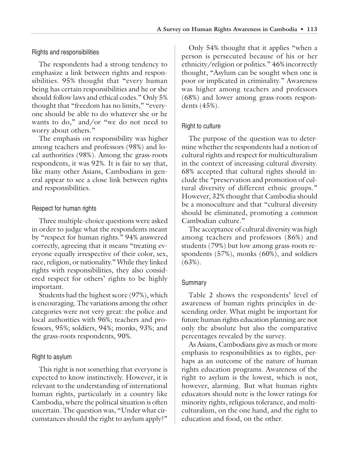## Rights and responsibilities

The respondents had a strong tendency to emphasize a link between rights and responsibilities. 95% thought that "every human being has certain responsibilities and he or she should follow laws and ethical codes." Only 5% thought that "freedom has no limits," "everyone should be able to do whatever she or he wants to do," and/or "we do not need to worry about others."

The emphasis on responsibility was higher among teachers and professors (98%) and local authorities (98%). Among the grass-roots respondents, it was 92%. It is fair to say that, like many other Asians, Cambodians in general appear to see a close link between rights and responsibilities.

## Respect for human rights

Three multiple-choice questions were asked in order to judge what the respondents meant by "respect for human rights." 94% answered correctly, agreeing that it means "treating everyone equally irrespective of their color, sex, race, religion, or nationality." While they linked rights with responsibilities, they also considered respect for others' rights to be highly important.

Students had the highest score (97%), which is encouraging. The variations among the other categories were not very great: the police and local authorities with 96%; teachers and professors, 95%; soldiers, 94%; monks, 93%; and the grass-roots respondents, 90%.

## Right to asylum

This right is not something that everyone is expected to know instinctively. However, it is relevant to the understanding of international human rights, particularly in a country like Cambodia, where the political situation is often uncertain. The question was, "Under what circumstances should the right to asylum apply?"

Only 54% thought that it applies "when a person is persecuted because of his or her ethnicity/religion or politics." 46% incorrectly thought, "Asylum can be sought when one is poor or implicated in criminality." Awareness was higher among teachers and professors (68%) and lower among grass-roots respondents (45%).

## Right to culture

The purpose of the question was to determine whether the respondents had a notion of cultural rights and respect for multiculturalism in the context of increasing cultural diversity. 68% accepted that cultural rights should include the "preservation and promotion of cultural diversity of different ethnic groups." However, 32% thought that Cambodia should be a monoculture and that "cultural diversity should be eliminated, promoting a common Cambodian culture."

The acceptance of cultural diversity was high among teachers and professors (86%) and students (79%) but low among grass-roots respondents (57%), monks (60%), and soldiers (63%).

## **Summary**

Table 2 shows the respondents' level of awareness of human rights principles in descending order. What might be important for future human rights education planning are not only the absolute but also the comparative percentages revealed by the survey.

As Asians, Cambodians give as much or more emphasis to responsibilities as to rights, perhaps as an outcome of the nature of human rights education programs. Awareness of the right to asylum is the lowest, which is not, however, alarming. But what human rights educators should note is the lower ratings for minority rights, religious tolerance, and multiculturalism, on the one hand, and the right to education and food, on the other.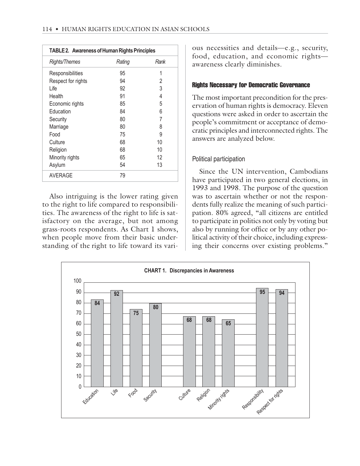| <b>TABLE 2. Awareness of Human Rights Principles</b> |        |      |
|------------------------------------------------------|--------|------|
| <b>Rights/Themes</b>                                 | Rating | Rank |
| Responsibilities                                     | 95     | 1    |
| Respect for rights                                   | 94     | 2    |
| Life                                                 | 92     | 3    |
| Health                                               | 91     | 4    |
| Economic rights                                      | 85     | 5    |
| Education                                            | 84     | 6    |
| Security                                             | 80     | 7    |
| Marriage                                             | 80     | 8    |
| Food                                                 | 75     | 9    |
| Culture                                              | 68     | 10   |
| Religion                                             | 68     | 10   |
| Minority rights                                      | 65     | 12   |
| Asylum                                               | 54     | 13   |
| <b>AVERAGE</b>                                       | 79     |      |

Also intriguing is the lower rating given to the right to life compared to responsibilities. The awareness of the right to life is satisfactory on the average, but not among grass-roots respondents. As Chart 1 shows, when people move from their basic understanding of the right to life toward its various necessities and details—e.g., security, food, education, and economic rights awareness clearly diminishes.

## Rights Necessary for Democratic Governance

The most important precondition for the preservation of human rights is democracy. Eleven questions were asked in order to ascertain the people's commitment or acceptance of democratic principles and interconnected rights. The answers are analyzed below.

## Political participation

Since the UN intervention, Cambodians have participated in two general elections, in 1993 and 1998. The purpose of the question was to ascertain whether or not the respondents fully realize the meaning of such participation. 80% agreed, "all citizens are entitled to participate in politics not only by voting but also by running for office or by any other political activity of their choice, including expressing their concerns over existing problems."

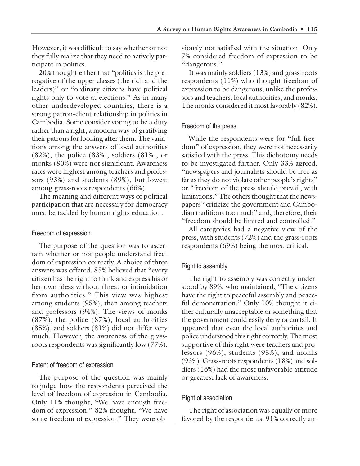However, it was difficult to say whether or not they fully realize that they need to actively participate in politics.

20% thought either that "politics is the prerogative of the upper classes (the rich and the leaders)" or "ordinary citizens have political rights only to vote at elections." As in many other underdeveloped countries, there is a strong patron-client relationship in politics in Cambodia. Some consider voting to be a duty rather than a right, a modern way of gratifying their patrons for looking after them. The variations among the answers of local authorities  $(82%)$ , the police  $(83%)$ , soldiers  $(81%)$ , or monks (80%) were not significant. Awareness rates were highest among teachers and professors (93%) and students (89%), but lowest among grass-roots respondents (66%).

The meaning and different ways of political participation that are necessary for democracy must be tackled by human rights education.

## Freedom of expression

The purpose of the question was to ascertain whether or not people understand freedom of expression correctly. A choice of three answers was offered. 85% believed that "every citizen has the right to think and express his or her own ideas without threat or intimidation from authorities." This view was highest among students (95%), then among teachers and professors (94%). The views of monks (87%), the police (87%), local authorities (85%), and soldiers (81%) did not differ very much. However, the awareness of the grassroots respondents was significantly low (77%).

## Extent of freedom of expression

The purpose of the question was mainly to judge how the respondents perceived the level of freedom of expression in Cambodia. Only 11% thought, "We have enough freedom of expression." 82% thought, "We have some freedom of expression." They were obviously not satisfied with the situation. Only 7% considered freedom of expression to be "dangerous."

It was mainly soldiers (13%) and grass-roots respondents (11%) who thought freedom of expression to be dangerous, unlike the professors and teachers, local authorities, and monks. The monks considered it most favorably (82%).

## Freedom of the press

While the respondents were for "full freedom" of expression, they were not necessarily satisfied with the press. This dichotomy needs to be investigated further. Only 33% agreed, "newspapers and journalists should be free as far as they do not violate other people's rights" or "freedom of the press should prevail, with limitations." The others thought that the newspapers "criticize the government and Cambodian traditions too much" and, therefore, their "freedom should be limited and controlled."

All categories had a negative view of the press, with students (72%) and the grass-roots respondents (69%) being the most critical.

## Right to assembly

The right to assembly was correctly understood by 89%, who maintained, "The citizens have the right to peaceful assembly and peaceful demonstration." Only 10% thought it either culturally unacceptable or something that the government could easily deny or curtail. It appeared that even the local authorities and police understood this right correctly. The most supportive of this right were teachers and professors (96%), students (95%), and monks (93%). Grass-roots respondents (18%) and soldiers (16%) had the most unfavorable attitude or greatest lack of awareness.

## Right of association

The right of association was equally or more favored by the respondents. 91% correctly an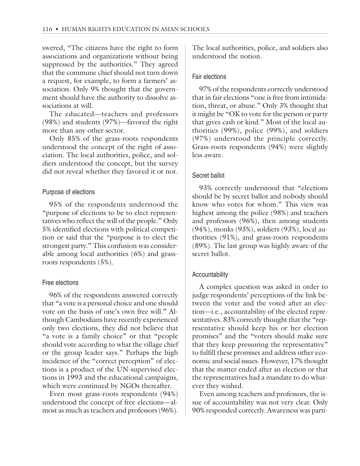swered, "The citizens have the right to form associations and organizations without being suppressed by the authorities." They agreed that the commune chief should not turn down a request, for example, to form a farmers' association. Only 9% thought that the government should have the authority to dissolve associations at will.

The educated—teachers and professors (98%) and students (97%)—favored the right more than any other sector.

Only 85% of the grass-roots respondents understood the concept of the right of association. The local authorities, police, and soldiers understood the concept, but the survey did not reveal whether they favored it or not.

## Purpose of elections

95% of the respondents understood the "purpose of elections to be to elect representatives who reflect the will of the people." Only 5% identified elections with political competition or said that the "purpose is to elect the strongest party." This confusion was considerable among local authorities (6%) and grassroots respondents (5%).

## Free elections

96% of the respondents answered correctly that "a vote is a personal choice and one should vote on the basis of one's own free will." Although Cambodians have recently experienced only two elections, they did not believe that "a vote is a family choice" or that "people should vote according to what the village chief or the group leader says." Perhaps the high incidence of the "correct perception" of elections is a product of the UN-supervised elections in 1993 and the educational campaigns, which were continued by NGOs thereafter.

Even most grass-roots respondents (94%) understood the concept of free elections—almost as much as teachers and professors (96%). The local authorities, police, and soldiers also understood the notion.

## Fair elections

97% of the respondents correctly understood that in fair elections "one is free from intimidation, threat, or abuse." Only 3% thought that it might be "OK to vote for the person or party that gives cash or kind." Most of the local authorities (99%), police (99%), and soldiers (97%) understood the principle correctly. Grass-roots respondents (94%) were slightly less aware.

## Secret ballot

93% correctly understood that "elections should be by secret ballot and nobody should know who votes for whom." This view was highest among the police (98%) and teachers and professors (96%), then among students (94%), monks (93%), soldiers (93%), local authorities (91%), and grass-roots respondents (89%). The last group was highly aware of the secret ballot.

## Accountability

A complex question was asked in order to judge respondents' perceptions of the link between the voter and the voted after an election—i.e., accountability of the elected representatives. 83% correctly thought that the "representative should keep his or her election promises" and the "voters should make sure that they keep pressuring the representative" to fulfill these promises and address other economic and social issues. However, 17% thought that the matter ended after an election or that the representatives had a mandate to do whatever they wished.

Even among teachers and professors, the issue of accountability was not very clear. Only 90% responded correctly. Awareness was parti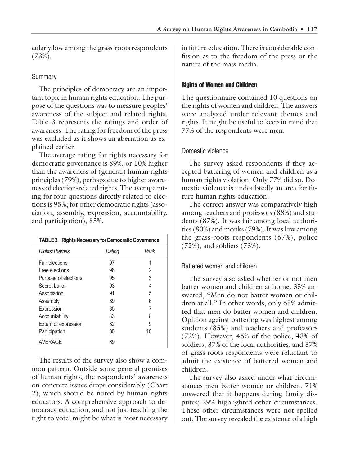cularly low among the grass-roots respondents (73%).

## **Summary**

The principles of democracy are an important topic in human rights education. The purpose of the questions was to measure peoples' awareness of the subject and related rights. Table 3 represents the ratings and order of awareness. The rating for freedom of the press was excluded as it shows an aberration as explained earlier.

The average rating for rights necessary for democratic governance is 89%, or 10% higher than the awareness of (general) human rights principles (79%), perhaps due to higher awareness of election-related rights. The average rating for four questions directly related to elections is 95%; for other democratic rights (association, assembly, expression, accountability, and participation), 85%.

| <b>TABLE 3. Rights Necessary for Democratic Governance</b> |        |      |  |
|------------------------------------------------------------|--------|------|--|
| Rights/Themes                                              | Rating | Rank |  |
| Fair elections                                             | 97     |      |  |
| Free elections                                             | 96     | 2    |  |
| Purpose of elections                                       | 95     | 3    |  |
| Secret ballot                                              | 93     | 4    |  |
| Association                                                | 91     | 5    |  |
| Assembly                                                   | 89     | 6    |  |
| Expression                                                 | 85     |      |  |
| Accountability                                             | 83     | 8    |  |
| Extent of expression                                       | 82     | 9    |  |
| Participation                                              | 80     | 10   |  |
| <b>AVERAGE</b>                                             | 89     |      |  |

The results of the survey also show a common pattern. Outside some general premises of human rights, the respondents' awareness on concrete issues drops considerably (Chart 2), which should be noted by human rights educators. A comprehensive approach to democracy education, and not just teaching the right to vote, might be what is most necessary in future education. There is considerable confusion as to the freedom of the press or the nature of the mass media.

# Rights of Women and Children

The questionnaire contained 10 questions on the rights of women and children. The answers were analyzed under relevant themes and rights. It might be useful to keep in mind that 77% of the respondents were men.

# Domestic violence

The survey asked respondents if they accepted battering of women and children as a human rights violation. Only 77% did so. Domestic violence is undoubtedly an area for future human rights education.

The correct answer was comparatively high among teachers and professors (88%) and students (87%). It was fair among local authorities (80%) and monks (79%). It was low among the grass-roots respondents (67%), police (72%), and soldiers (73%).

# Battered women and children

The survey also asked whether or not men batter women and children at home. 35% answered, "Men do not batter women or children at all." In other words, only 65% admitted that men do batter women and children. Opinion against battering was highest among students (85%) and teachers and professors (72%). However, 46% of the police, 43% of soldiers, 37% of the local authorities, and 37% of grass-roots respondents were reluctant to admit the existence of battered women and children.

The survey also asked under what circumstances men batter women or children. 71% answered that it happens during family disputes; 29% highlighted other circumstances. These other circumstances were not spelled out. The survey revealed the existence of a high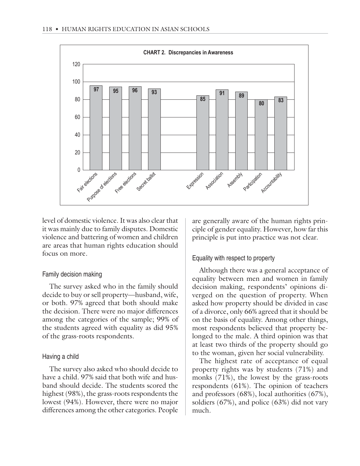

level of domestic violence. It was also clear that it was mainly due to family disputes. Domestic violence and battering of women and children are areas that human rights education should focus on more.

## Family decision making

The survey asked who in the family should decide to buy or sell property—husband, wife, or both. 97% agreed that both should make the decision. There were no major differences among the categories of the sample; 99% of the students agreed with equality as did 95% of the grass-roots respondents.

#### Having a child

The survey also asked who should decide to have a child. 97% said that both wife and husband should decide. The students scored the highest (98%), the grass-roots respondents the lowest (94%). However, there were no major differences among the other categories. People

are generally aware of the human rights principle of gender equality. However, how far this principle is put into practice was not clear.

## Equality with respect to property

Although there was a general acceptance of equality between men and women in family decision making, respondents' opinions diverged on the question of property. When asked how property should be divided in case of a divorce, only 66% agreed that it should be on the basis of equality. Among other things, most respondents believed that property belonged to the male. A third opinion was that at least two thirds of the property should go to the woman, given her social vulnerability.

The highest rate of acceptance of equal property rights was by students (71%) and monks (71%), the lowest by the grass-roots respondents (61%). The opinion of teachers and professors (68%), local authorities (67%), soldiers (67%), and police (63%) did not vary much.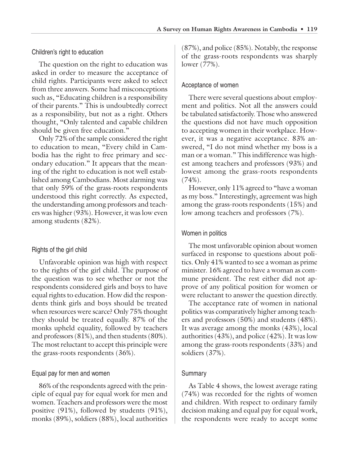## Children's right to education

The question on the right to education was asked in order to measure the acceptance of child rights. Participants were asked to select from three answers. Some had misconceptions such as, "Educating children is a responsibility of their parents." This is undoubtedly correct as a responsibility, but not as a right. Others thought, "Only talented and capable children should be given free education."

Only 72% of the sample considered the right to education to mean, "Every child in Cambodia has the right to free primary and secondary education." It appears that the meaning of the right to education is not well established among Cambodians. Most alarming was that only 59% of the grass-roots respondents understood this right correctly. As expected, the understanding among professors and teachers was higher (93%). However, it was low even among students (82%).

## Rights of the girl child

Unfavorable opinion was high with respect to the rights of the girl child. The purpose of the question was to see whether or not the respondents considered girls and boys to have equal rights to education. How did the respondents think girls and boys should be treated when resources were scarce? Only 75% thought they should be treated equally. 87% of the monks upheld equality, followed by teachers and professors (81%), and then students (80%). The most reluctant to accept this principle were the grass-roots respondents (36%).

## Equal pay for men and women

86% of the respondents agreed with the principle of equal pay for equal work for men and women. Teachers and professors were the most positive (91%), followed by students (91%), monks (89%), soldiers (88%), local authorities

(87%), and police (85%). Notably, the response of the grass-roots respondents was sharply lower (77%).

## Acceptance of women

There were several questions about employment and politics. Not all the answers could be tabulated satisfactorily. Those who answered the questions did not have much opposition to accepting women in their workplace. However, it was a negative acceptance. 83% answered, "I do not mind whether my boss is a man or a woman." This indifference was highest among teachers and professors (93%) and lowest among the grass-roots respondents (74%).

However, only 11% agreed to "have a woman as my boss." Interestingly, agreement was high among the grass-roots respondents (15%) and low among teachers and professors (7%).

## Women in politics

The most unfavorable opinion about women surfaced in response to questions about politics. Only 41% wanted to see a woman as prime minister. 16% agreed to have a woman as commune president. The rest either did not approve of any political position for women or were reluctant to answer the question directly.

The acceptance rate of women in national politics was comparatively higher among teachers and professors (50%) and students (48%). It was average among the monks (43%), local authorities (43%), and police (42%). It was low among the grass-roots respondents (33%) and soldiers (37%).

## **Summary**

As Table 4 shows, the lowest average rating (74%) was recorded for the rights of women and children. With respect to ordinary family decision making and equal pay for equal work, the respondents were ready to accept some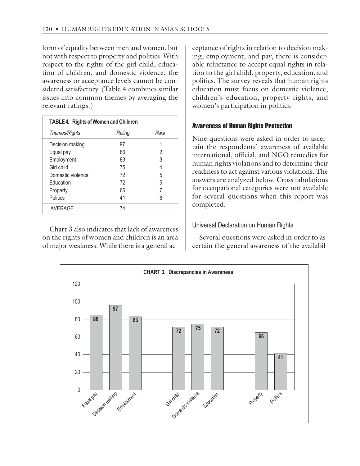form of equality between men and women, but not with respect to property and politics. With respect to the rights of the girl child, education of children, and domestic violence, the awareness or acceptance levels cannot be considered satisfactory. (Table 4 combines similar issues into common themes by averaging the relevant ratings.)

| TABLE 4. Rights of Women and Children |        |      |
|---------------------------------------|--------|------|
| Themes/Rights                         | Rating | Rank |
| Decision making                       | 97     |      |
| Equal pay                             | 86     | 2    |
| Employment                            | 83     | 3    |
| Girl child                            | 75     |      |
| Domestic violence                     | 72     | 5    |
| Education                             | 72     | 5    |
| Property                              | 66     |      |
| <b>Politics</b>                       | 41     | 8    |
| <b>AVERAGE</b>                        | 74     |      |

Chart 3 also indicates that lack of awareness on the rights of women and children is an area of major weakness. While there is a general ac-

ceptance of rights in relation to decision making, employment, and pay, there is considerable reluctance to accept equal rights in relation to the girl child, property, education, and politics. The survey reveals that human rights education must focus on domestic violence, children's education, property rights, and women's participation in politics.

## Awareness of Human Rights Protection

Nine questions were asked in order to ascertain the respondents' awareness of available international, official, and NGO remedies for human rights violations and to determine their readiness to act against various violations. The answers are analyzed below. Cross tabulations for occupational categories were not available for several questions when this report was completed.

# Universal Declaration on Human Rights

Several questions were asked in order to ascertain the general awareness of the availabil-

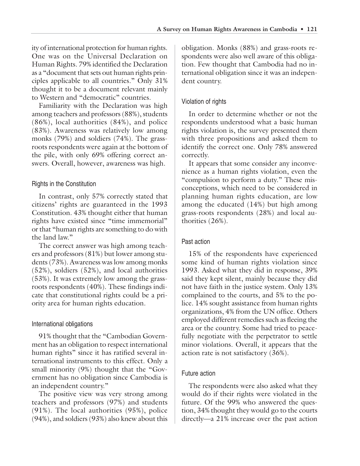ity of international protection for human rights. One was on the Universal Declaration on Human Rights. 79% identified the Declaration as a "document that sets out human rights principles applicable to all countries." Only 31% thought it to be a document relevant mainly to Western and "democratic" countries.

Familiarity with the Declaration was high among teachers and professors (88%), students (86%), local authorities (84%), and police (83%). Awareness was relatively low among monks (79%) and soldiers (74%). The grassroots respondents were again at the bottom of the pile, with only 69% offering correct answers. Overall, however, awareness was high.

# Rights in the Constitution

In contrast, only 57% correctly stated that citizens' rights are guaranteed in the 1993 Constitution. 43% thought either that human rights have existed since "time immemorial" or that "human rights are something to do with the land law."

The correct answer was high among teachers and professors (81%) but lower among students (73%). Awareness was low among monks (52%), soldiers (52%), and local authorities (53%). It was extremely low among the grassroots respondents (40%). These findings indicate that constitutional rights could be a priority area for human rights education.

## International obligations

91% thought that the "Cambodian Government has an obligation to respect international human rights" since it has ratified several international instruments to this effect. Only a small minority (9%) thought that the "Government has no obligation since Cambodia is an independent country."

The positive view was very strong among teachers and professors (97%) and students (91%). The local authorities (95%), police (94%), and soldiers (93%) also knew about this

obligation. Monks (88%) and grass-roots respondents were also well aware of this obligation. Few thought that Cambodia had no international obligation since it was an independent country.

# Violation of rights

In order to determine whether or not the respondents understood what a basic human rights violation is, the survey presented them with three propositions and asked them to identify the correct one. Only 78% answered correctly.

It appears that some consider any inconvenience as a human rights violation, even the "compulsion to perform a duty." These misconceptions, which need to be considered in planning human rights education, are low among the educated (14%) but high among grass-roots respondents (28%) and local authorities (26%).

# Past action

15% of the respondents have experienced some kind of human rights violation since 1993. Asked what they did in response, 39% said they kept silent, mainly because they did not have faith in the justice system. Only 13% complained to the courts, and 5% to the police. 14% sought assistance from human rights organizations, 4% from the UN office. Others employed different remedies such as fleeing the area or the country. Some had tried to peacefully negotiate with the perpetrator to settle minor violations. Overall, it appears that the action rate is not satisfactory (36%).

# Future action

The respondents were also asked what they would do if their rights were violated in the future. Of the 99% who answered the question, 34% thought they would go to the courts directly—a 21% increase over the past action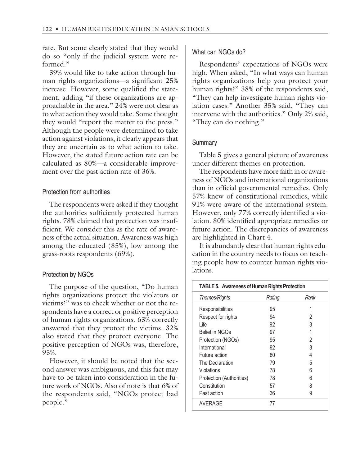rate. But some clearly stated that they would do so "only if the judicial system were reformed."

39% would like to take action through human rights organizations—a significant 25% increase. However, some qualified the statement, adding "if these organizations are approachable in the area." 24% were not clear as to what action they would take. Some thought they would "report the matter to the press." Although the people were determined to take action against violations, it clearly appears that they are uncertain as to what action to take. However, the stated future action rate can be calculated as 80%—a considerable improvement over the past action rate of 36%.

## Protection from authorities

The respondents were asked if they thought the authorities sufficiently protected human rights. 78% claimed that protection was insufficient. We consider this as the rate of awareness of the actual situation. Awareness was high among the educated (85%), low among the grass-roots respondents (69%).

## Protection by NGOs

The purpose of the question, "Do human rights organizations protect the violators or victims?" was to check whether or not the respondents have a correct or positive perception of human rights organizations. 63% correctly answered that they protect the victims. 32% also stated that they protect everyone. The positive perception of NGOs was, therefore, 95%.

However, it should be noted that the second answer was ambiguous, and this fact may have to be taken into consideration in the future work of NGOs. Also of note is that 6% of the respondents said, "NGOs protect bad people."

## What can NGOs do?

Respondents' expectations of NGOs were high. When asked, "In what ways can human rights organizations help you protect your human rights?" 38% of the respondents said, "They can help investigate human rights violation cases." Another 35% said, "They can intervene with the authorities." Only 2% said, "They can do nothing."

## Summary

Table 5 gives a general picture of awareness under different themes on protection.

The respondents have more faith in or awareness of NGOs and international organizations than in official governmental remedies. Only 57% knew of constitutional remedies, while 91% were aware of the international system. However, only 77% correctly identified a violation. 80% identified appropriate remedies or future action. The discrepancies of awareness are highlighted in Chart 4.

It is abundantly clear that human rights education in the country needs to focus on teaching people how to counter human rights violations.

| <b>TABLE 5. Awareness of Human Rights Protection</b> |        |      |
|------------------------------------------------------|--------|------|
| Themes/Rights                                        | Rating | Rank |
| Responsibilities                                     | 95     | 1    |
| Respect for rights                                   | 94     | 2    |
| Life                                                 | 92     | 3    |
| Belief in NGOs                                       | 97     | 1    |
| Protection (NGOs)                                    | 95     | 2    |
| International                                        | 92     | 3    |
| Future action                                        | 80     | 4    |
| The Declaration                                      | 79     | 5    |
| Violations                                           | 78     | 6    |
| Protection (Authorities)                             | 78     | 6    |
| Constitution                                         | 57     | 8    |
| Past action                                          | 36     | 9    |
| AVERAGE                                              | 77     |      |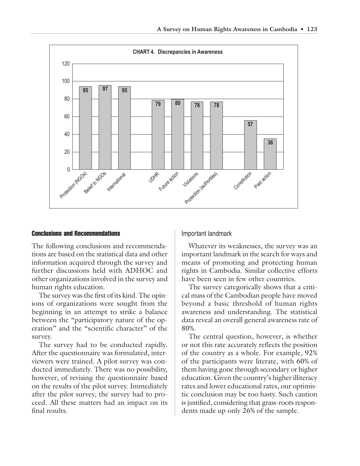

#### Conclusions and Recommendations

The following conclusions and recommendations are based on the statistical data and other information acquired through the survey and further discussions held with ADHOC and other organizations involved in the survey and human rights education.

The survey was the first of its kind. The opinions of organizations were sought from the beginning in an attempt to strike a balance between the "participatory nature of the operation" and the "scientific character" of the survey.

The survey had to be conducted rapidly. After the questionnaire was formulated, interviewers were trained. A pilot survey was conducted immediately. There was no possibility, however, of revising the questionnaire based on the results of the pilot survey. Immediately after the pilot survey, the survey had to proceed. All these matters had an impact on its final results.

Important landmark

Whatever its weaknesses, the survey was an important landmark in the search for ways and means of promoting and protecting human rights in Cambodia. Similar collective efforts have been seen in few other countries.

The survey categorically shows that a critical mass of the Cambodian people have moved beyond a basic threshold of human rights awareness and understanding. The statistical data reveal an overall general awareness rate of 80%.

The central question, however, is whether or not this rate accurately reflects the position of the country as a whole. For example, 92% of the participants were literate, with 60% of them having gone through secondary or higher education. Given the country's higher illiteracy rates and lower educational rates, our optimistic conclusion may be too hasty. Such caution is justified, considering that grass-roots respondents made up only 26% of the sample.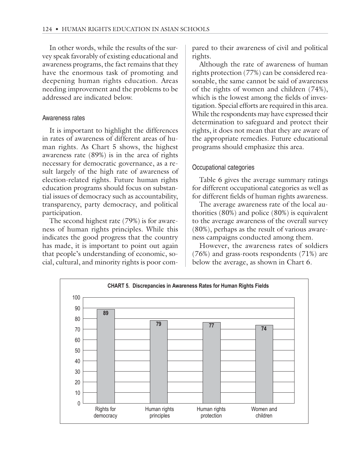In other words, while the results of the survey speak favorably of existing educational and awareness programs, the fact remains that they have the enormous task of promoting and deepening human rights education. Areas needing improvement and the problems to be addressed are indicated below.

#### Awareness rates

It is important to highlight the differences in rates of awareness of different areas of human rights. As Chart 5 shows, the highest awareness rate (89%) is in the area of rights necessary for democratic governance, as a result largely of the high rate of awareness of election-related rights. Future human rights education programs should focus on substantial issues of democracy such as accountability, transparency, party democracy, and political participation.

The second highest rate (79%) is for awareness of human rights principles. While this indicates the good progress that the country has made, it is important to point out again that people's understanding of economic, social, cultural, and minority rights is poor compared to their awareness of civil and political rights.

Although the rate of awareness of human rights protection (77%) can be considered reasonable, the same cannot be said of awareness of the rights of women and children (74%), which is the lowest among the fields of investigation. Special efforts are required in this area. While the respondents may have expressed their determination to safeguard and protect their rights, it does not mean that they are aware of the appropriate remedies. Future educational programs should emphasize this area.

## Occupational categories

Table 6 gives the average summary ratings for different occupational categories as well as for different fields of human rights awareness.

The average awareness rate of the local authorities (80%) and police (80%) is equivalent to the average awareness of the overall survey (80%), perhaps as the result of various awareness campaigns conducted among them.

However, the awareness rates of soldiers (76%) and grass-roots respondents (71%) are below the average, as shown in Chart 6.

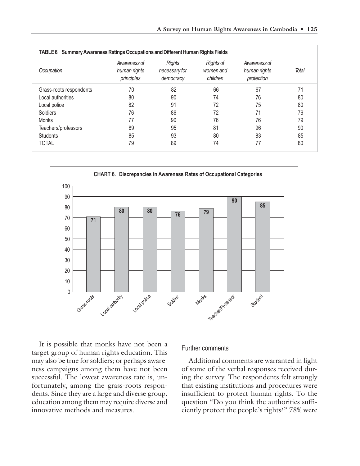| Occupation              | Awareness of<br>human rights<br>principles | <b>Rights</b><br>necessary for<br>democracy | <b>Rights of</b><br>women and<br>children | Awareness of<br>human rights<br>protection | <b>Total</b> |
|-------------------------|--------------------------------------------|---------------------------------------------|-------------------------------------------|--------------------------------------------|--------------|
| Grass-roots respondents | 70                                         | 82                                          | 66                                        | 67                                         | 71           |
| Local authorities       | 80                                         | 90                                          | 74                                        | 76                                         | 80           |
| Local police            | 82                                         | 91                                          | 72                                        | 75                                         | 80           |
| Soldiers                | 76                                         | 86                                          | 72                                        | 71                                         | 76           |
| Monks                   | 77                                         | 90                                          | 76                                        | 76                                         | 79           |
| Teachers/professors     | 89                                         | 95                                          | 81                                        | 96                                         | 90           |
| <b>Students</b>         | 85                                         | 93                                          | 80                                        | 83                                         | 85           |
| <b>TOTAL</b>            | 79                                         | 89                                          | 74                                        | 77                                         | 80           |



It is possible that monks have not been a target group of human rights education. This may also be true for soldiers; or perhaps awareness campaigns among them have not been successful. The lowest awareness rate is, unfortunately, among the grass-roots respondents. Since they are a large and diverse group, education among them may require diverse and innovative methods and measures.

#### Further comments

Additional comments are warranted in light of some of the verbal responses received during the survey. The respondents felt strongly that existing institutions and procedures were insufficient to protect human rights. To the question "Do you think the authorities sufficiently protect the people's rights?" 78% were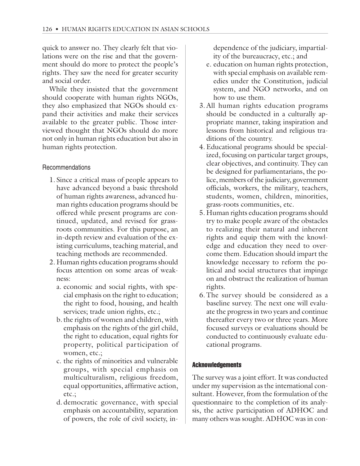quick to answer no. They clearly felt that violations were on the rise and that the government should do more to protect the people's rights. They saw the need for greater security and social order.

While they insisted that the government should cooperate with human rights NGOs, they also emphasized that NGOs should expand their activities and make their services available to the greater public. Those interviewed thought that NGOs should do more not only in human rights education but also in human rights protection.

## Recommendations

- 1. Since a critical mass of people appears to have advanced beyond a basic threshold of human rights awareness, advanced human rights education programs should be offered while present programs are continued, updated, and revised for grassroots communities. For this purpose, an in-depth review and evaluation of the existing curriculums, teaching material, and teaching methods are recommended.
- 2. Human rights education programs should focus attention on some areas of weakness:
	- a. economic and social rights, with special emphasis on the right to education; the right to food, housing, and health services; trade union rights, etc.;
	- b. the rights of women and children, with emphasis on the rights of the girl child, the right to education, equal rights for property, political participation of women, etc.;
	- c. the rights of minorities and vulnerable groups, with special emphasis on multiculturalism, religious freedom, equal opportunities, affirmative action, etc.;
	- d. democratic governance, with special emphasis on accountability, separation of powers, the role of civil society, in-

dependence of the judiciary, impartiality of the bureaucracy, etc.; and

- e. education on human rights protection, with special emphasis on available remedies under the Constitution, judicial system, and NGO networks, and on how to use them.
- 3. All human rights education programs should be conducted in a culturally appropriate manner, taking inspiration and lessons from historical and religious traditions of the country.
- 4. Educational programs should be specialized, focusing on particular target groups, clear objectives, and continuity. They can be designed for parliamentarians, the police, members of the judiciary, government officials, workers, the military, teachers, students, women, children, minorities, grass-roots communities, etc.
- 5. Human rights education programs should try to make people aware of the obstacles to realizing their natural and inherent rights and equip them with the knowledge and education they need to overcome them. Education should impart the knowledge necessary to reform the political and social structures that impinge on and obstruct the realization of human rights.
- 6. The survey should be considered as a baseline survey. The next one will evaluate the progress in two years and continue thereafter every two or three years. More focused surveys or evaluations should be conducted to continuously evaluate educational programs.

## Acknowledgements

The survey was a joint effort. It was conducted under my supervision as the international consultant. However, from the formulation of the questionnaire to the completion of its analysis, the active participation of ADHOC and many others was sought. ADHOC was in con